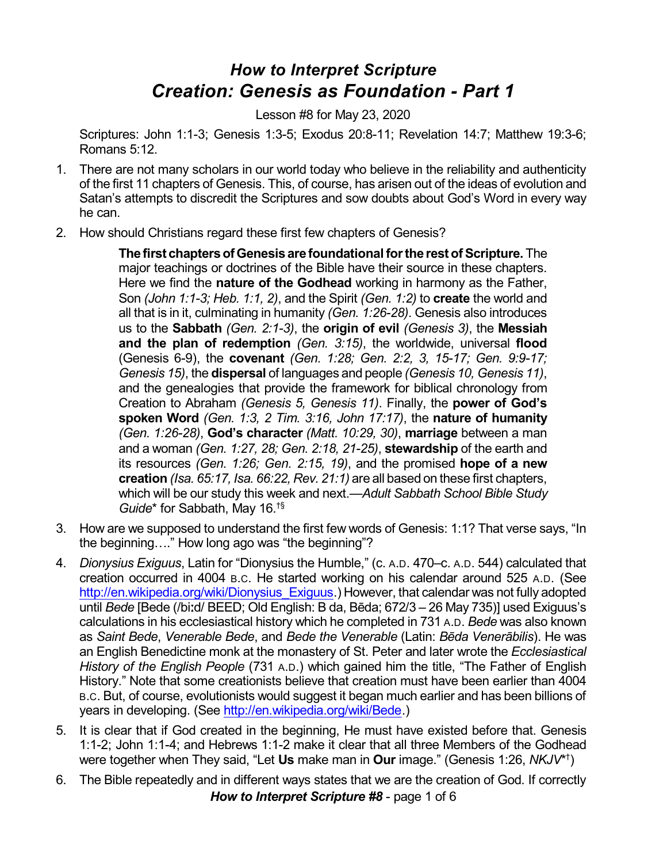## *How to Interpret Scripture Creation: Genesis as Foundation - Part 1*

Lesson #8 for May 23, 2020

Scriptures: John 1:1-3; Genesis 1:3-5; Exodus 20:8-11; Revelation 14:7; Matthew 19:3-6; Romans 5:12.

- 1. There are not many scholars in our world today who believe in the reliability and authenticity of the first 11 chapters of Genesis. This, of course, has arisen out of the ideas of evolution and Satan's attempts to discredit the Scriptures and sow doubts about God's Word in every way he can.
- 2. How should Christians regard these first few chapters of Genesis?

**Thefirst chaptersofGenesisarefoundationalforthe restofScripture.** The major teachings or doctrines of the Bible have their source in these chapters. Here we find the **nature of the Godhead** working in harmony as the Father, Son *(John 1:1-3; Heb. 1:1, 2)*, and the Spirit *(Gen. 1:2)* to **create** the world and all that is in it, culminating in humanity *(Gen. 1:26-28)*. Genesis also introduces us to the **Sabbath** *(Gen. 2:1-3)*, the **origin of evil** *(Genesis 3)*, the **Messiah and the plan of redemption** *(Gen. 3:15)*, the worldwide, universal **flood** (Genesis 6-9), the **covenant** *(Gen. 1:28; Gen. 2:2, 3, 15-17; Gen. 9:9-17; Genesis 15)*, the **dispersal** of languages and people *(Genesis 10, Genesis 11)*, and the genealogies that provide the framework for biblical chronology from Creation to Abraham *(Genesis 5, Genesis 11)*. Finally, the **power of God's spoken Word** *(Gen. 1:3, 2 Tim. 3:16, John 17:17)*, the **nature of humanity** *(Gen. 1:26-28)*, **God's character** *(Matt. 10:29, 30)*, **marriage** between a man and a woman *(Gen. 1:27, 28; Gen. 2:18, 21-25)*, **stewardship** of the earth and its resources *(Gen. 1:26; Gen. 2:15, 19)*, and the promised **hope of a new creation** *(Isa. 65:17, Isa. 66:22, Rev. 21:1)* are all based on these first chapters, which will be our study this week and next.—*Adult Sabbath School Bible Study Guide*\* for Sabbath, May 16. †§

- 3. How are we supposed to understand the first few words of Genesis: 1:1? That verse says, "In the beginning…." How long ago was "the beginning"?
- 4. *Dionysius Exiguus*, Latin for "Dionysius the Humble," (c. A.D. 470–c. A.D. 544) calculated that creation occurred in 4004 B.C. He started working on his calendar around 525 A.D. (See [http://en.wikipedia.org/wiki/Dionysius\\_Exiguus](http://en.wikipedia.org/wiki/Dionysius_Exiguus).) However, that calendar was not fully adopted until *Bede* [Bede (/biːd/ BEED; Old English: B da, Bēda; 672/3 – 26 May 735)] used Exiguus's calculations in his ecclesiastical history which he completed in 731 A.D. *Bede* was also known as *Saint Bede*, *Venerable Bede*, and *Bede the Venerable* (Latin: *Bçda Venerâbilis*). He was an English Benedictine monk at the monastery of St. Peter and later wrote the *Ecclesiastical History of the English People* (731 A.D.) which gained him the title, "The Father of English History." Note that some creationists believe that creation must have been earlier than 4004 B.C. But, of course, evolutionists would suggest it began much earlier and has been billions of years in developing. (See [http://en.wikipedia.org/wiki/Bede](https://en.wikipedia.org/wiki/Bede).)
- 5. It is clear that if God created in the beginning, He must have existed before that. Genesis 1:1-2; John 1:1-4; and Hebrews 1:1-2 make it clear that all three Members of the Godhead were together when They said, "Let **Us** make man in **Our** image." (Genesis 1:26, *NKJV*\* † )
- 6. The Bible repeatedly and in different ways states that we are the creation of God. If correctly *How to Interpret Scripture #8* - page 1 of 6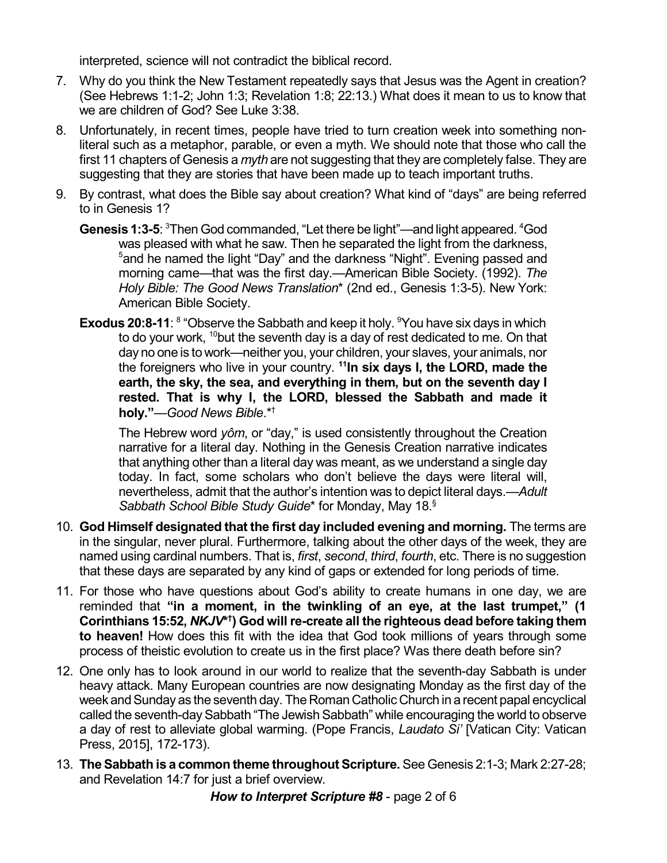interpreted, science will not contradict the biblical record.

- 7. Why do you think the New Testament repeatedly says that Jesus was the Agent in creation? (See Hebrews 1:1-2; John 1:3; Revelation 1:8; 22:13.) What does it mean to us to know that we are children of God? See Luke 3:38.
- 8. Unfortunately, in recent times, people have tried to turn creation week into something nonliteral such as a metaphor, parable, or even a myth. We should note that those who call the first 11 chapters of Genesis a *myth* are not suggesting that they are completely false. They are suggesting that they are stories that have been made up to teach important truths.
- 9. By contrast, what does the Bible say about creation? What kind of "days" are being referred to in Genesis 1?
	- Genesis 1:3-5: <sup>3</sup>Then God commanded, "Let there be light"—and light appeared. <sup>4</sup>God was pleased with what he saw. Then he separated the light from the darkness, <sup>5</sup>and he named the light "Day" and the darkness "Night". Evening passed and morning came—that was the first day.—American Bible Society. (1992). *The Holy Bible: The Good News Translation*\* (2nd ed., Genesis 1:3-5). New York: American Bible Society.
	- **Exodus 20:8-11**: <sup>8</sup> "Observe the Sabbath and keep it holy. <sup>9</sup> You have six days in which to do your work,  $^{10}$ but the seventh day is a day of rest dedicated to me. On that day no one is to work—neither you, your children, your slaves, your animals, nor the foreigners who live in your country. **<sup>11</sup>In six days I, the LORD, made the earth, the sky, the sea, and everything in them, but on the seventh day I rested. That is why I, the LORD, blessed the Sabbath and made it holy."**—*Good News Bible*.\* †

The Hebrew word *yôm*, or "day," is used consistently throughout the Creation narrative for a literal day. Nothing in the Genesis Creation narrative indicates that anything other than a literal day was meant, as we understand a single day today. In fact, some scholars who don't believe the days were literal will, nevertheless, admit that the author's intention was to depict literal days.—*Adult Sabbath School Bible Study Guide*\* for Monday, May 18. §

- 10. **God Himself designated that the first day included evening and morning.** The terms are in the singular, never plural. Furthermore, talking about the other days of the week, they are named using cardinal numbers. That is, *first*, *second*, *third*, *fourth*, etc. There is no suggestion that these days are separated by any kind of gaps or extended for long periods of time.
- 11. For those who have questions about God's ability to create humans in one day, we are reminded that **"in a moment, in the twinkling of an eye, at the last trumpet," (1 Corinthians 15:52,** *NKJV***\* † ) God will re-create all the righteous dead before taking them to heaven!** How does this fit with the idea that God took millions of years through some process of theistic evolution to create us in the first place? Was there death before sin?
- 12. One only has to look around in our world to realize that the seventh-day Sabbath is under heavy attack. Many European countries are now designating Monday as the first day of the week and Sunday as the seventh day. The Roman Catholic Church in a recent papal encyclical called the seventh-day Sabbath "The Jewish Sabbath" while encouraging the world to observe a day of rest to alleviate global warming. (Pope Francis, *Laudato Si'* [Vatican City: Vatican Press, 2015], 172-173).
- 13. **TheSabbath is a common theme throughout Scripture.** See Genesis 2:1-3; Mark 2:27-28; and Revelation 14:7 for just a brief overview.

*How to Interpret Scripture #8* - page 2 of 6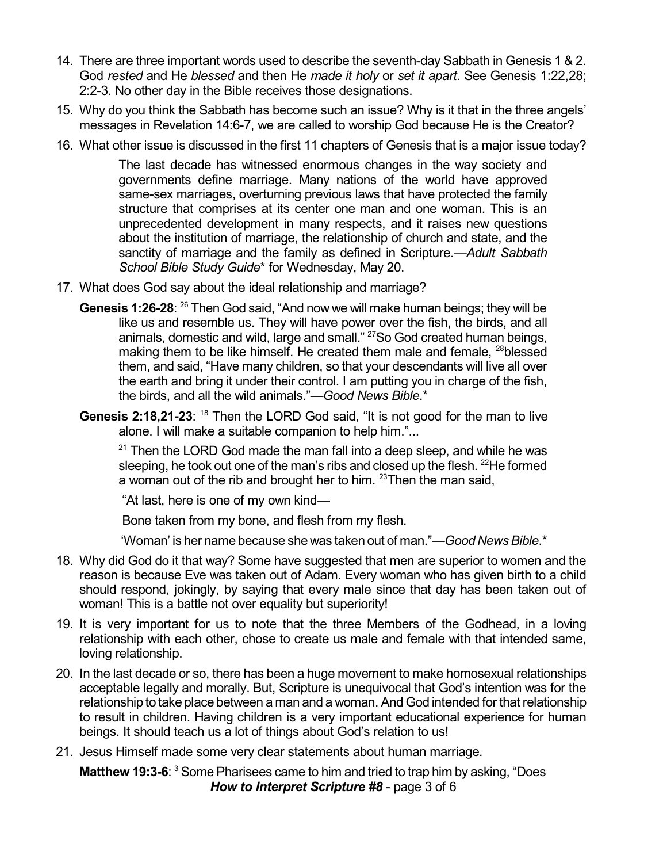- 14. There are three important words used to describe the seventh-day Sabbath in Genesis 1 & 2. God *rested* and He *blessed* and then He *made it holy* or *set it apart*. See Genesis 1:22,28; 2:2-3. No other day in the Bible receives those designations.
- 15. Why do you think the Sabbath has become such an issue? Why is it that in the three angels' messages in Revelation 14:6-7, we are called to worship God because He is the Creator?
- 16. What other issue is discussed in the first 11 chapters of Genesis that is a major issue today?

The last decade has witnessed enormous changes in the way society and governments define marriage. Many nations of the world have approved same-sex marriages, overturning previous laws that have protected the family structure that comprises at its center one man and one woman. This is an unprecedented development in many respects, and it raises new questions about the institution of marriage, the relationship of church and state, and the sanctity of marriage and the family as defined in Scripture.—*Adult Sabbath School Bible Study Guide*\* for Wednesday, May 20.

- 17. What does God say about the ideal relationship and marriage?
	- Genesis 1:26-28: <sup>26</sup> Then God said, "And now we will make human beings; they will be like us and resemble us. They will have power over the fish, the birds, and all animals, domestic and wild, large and small." <sup>27</sup>So God created human beings, making them to be like himself. He created them male and female, <sup>28</sup>blessed them, and said, "Have many children, so that your descendants will live all over the earth and bring it under their control. I am putting you in charge of the fish, the birds, and all the wild animals."—*Good News Bible*.\*
	- Genesis 2:18,21-23: <sup>18</sup> Then the LORD God said, "It is not good for the man to live alone. I will make a suitable companion to help him."...

 $21$  Then the LORD God made the man fall into a deep sleep, and while he was sleeping, he took out one of the man's ribs and closed up the flesh. <sup>22</sup>He formed a woman out of the rib and brought her to him. <sup>23</sup>Then the man said,

"At last, here is one of my own kind—

Bone taken from my bone, and flesh from my flesh.

'Woman' is her name because she was taken out of man."—*Good NewsBible*.\*

- 18. Why did God do it that way? Some have suggested that men are superior to women and the reason is because Eve was taken out of Adam. Every woman who has given birth to a child should respond, jokingly, by saying that every male since that day has been taken out of woman! This is a battle not over equality but superiority!
- 19. It is very important for us to note that the three Members of the Godhead, in a loving relationship with each other, chose to create us male and female with that intended same, loving relationship.
- 20. In the last decade or so, there has been a huge movement to make homosexual relationships acceptable legally and morally. But, Scripture is unequivocal that God's intention was for the relationship to take place between a man and a woman. And God intended for that relationship to result in children. Having children is a very important educational experience for human beings. It should teach us a lot of things about God's relation to us!
- 21. Jesus Himself made some very clear statements about human marriage.

**Matthew 19:3-6**: <sup>3</sup> Some Pharisees came to him and tried to trap him by asking, "Does *How to Interpret Scripture #8* - page 3 of 6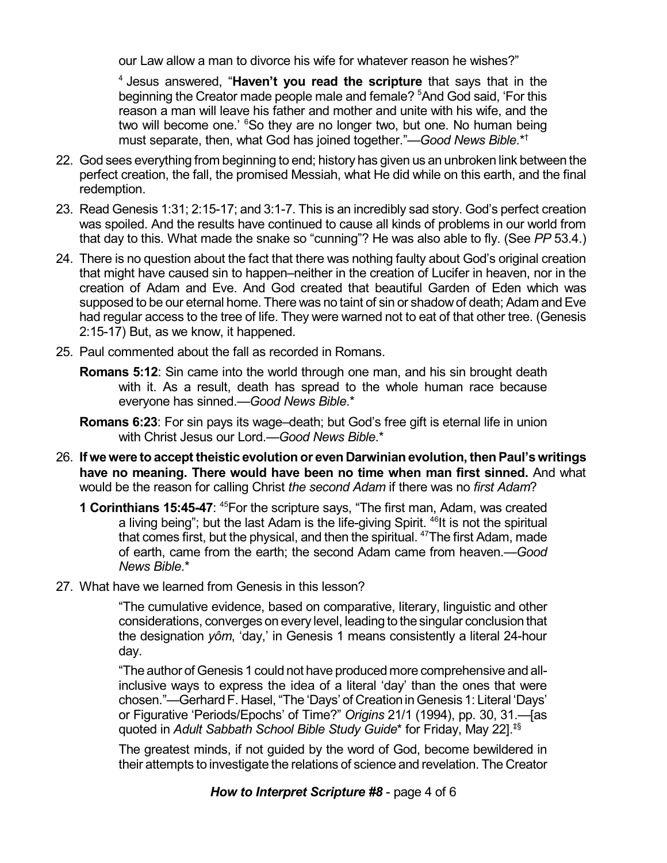our Law allow a man to divorce his wife for whatever reason he wishes?"

4 Jesus answered, "**Haven't you read the scripture** that says that in the beginning the Creator made people male and female? <sup>5</sup>And God said, 'For this reason a man will leave his father and mother and unite with his wife, and the two will become one.' <sup>6</sup>So they are no longer two, but one. No human being must separate, then, what God has joined together."—*Good News Bible*.\* †

- 22. God sees everything from beginning to end; history has given us an unbroken link between the perfect creation, the fall, the promised Messiah, what He did while on this earth, and the final redemption.
- 23. Read Genesis 1:31; 2:15-17; and 3:1-7. This is an incredibly sad story. God's perfect creation was spoiled. And the results have continued to cause all kinds of problems in our world from that day to this. What made the snake so "cunning"? He was also able to fly. (See *PP* 53.4.)
- 24. There is no question about the fact that there was nothing faulty about God's original creation that might have caused sin to happen–neither in the creation of Lucifer in heaven, nor in the creation of Adam and Eve. And God created that beautiful Garden of Eden which was supposed to be our eternal home. There was no taint of sin or shadow of death; Adam and Eve had regular access to the tree of life. They were warned not to eat of that other tree. (Genesis 2:15-17) But, as we know, it happened.
- 25. Paul commented about the fall as recorded in Romans.
	- **Romans 5:12**: Sin came into the world through one man, and his sin brought death with it. As a result, death has spread to the whole human race because everyone has sinned.—*Good News Bible*.\*
	- **Romans 6:23**: For sin pays its wage–death; but God's free gift is eternal life in union with Christ Jesus our Lord.—*Good News Bible*.\*
- 26. **If wewere to accept theistic evolution or even Darwinian evolution, thenPaul'swritings have no meaning. There would have been no time when man first sinned.** And what would be the reason for calling Christ *the second Adam* if there was no *first Adam*?
	- **1 Corinthians 15:45-47: <sup>45</sup>For the scripture says, "The first man, Adam, was created** a living being"; but the last Adam is the life-giving Spirit. <sup>46</sup>lt is not the spiritual that comes first, but the physical, and then the spiritual. <sup>47</sup>The first Adam, made of earth, came from the earth; the second Adam came from heaven.—*Good News Bible*.\*
- 27. What have we learned from Genesis in this lesson?

"The cumulative evidence, based on comparative, literary, linguistic and other considerations, converges on every level, leading tothesingular conclusionthat the designation *yôm*, 'day,' in Genesis 1 means consistently a literal 24-hour day.

"The author of Genesis 1 could not have produced more comprehensive and allinclusive ways to express the idea of a literal 'day' than the ones that were chosen."—GerhardF. Hasel, "The 'Days' of CreationinGenesis 1: Literal 'Days' or Figurative 'Periods/Epochs' of Time?" *Origins* 21/1 (1994), pp. 30, 31.—[as quoted in *Adult Sabbath School Bible Study Guide*\* for Friday, May 22]. ‡§

The greatest minds, if not guided by the word of God, become bewildered in their attempts to investigate the relations of science and revelation. The Creator

*How to Interpret Scripture #8* - page 4 of 6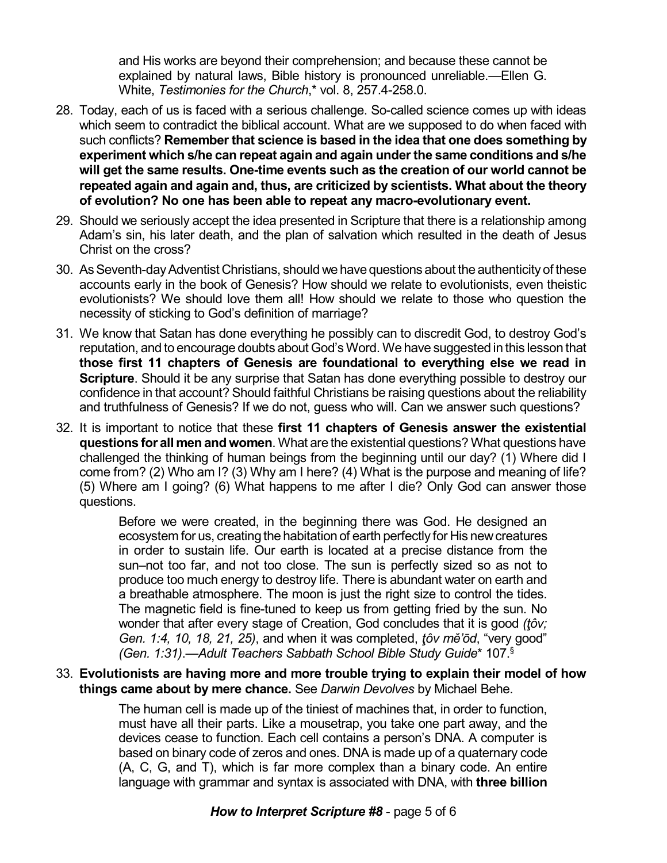and His works are beyond their comprehension; and because these cannot be explained by natural laws, Bible history is pronounced unreliable.—Ellen G. White, *Testimonies for the Church*,\* vol. 8, 257.4-258.0.

- 28. Today, each of us is faced with a serious challenge. So-called science comes up with ideas which seem to contradict the biblical account. What are we supposed to do when faced with such conflicts? **Remember that science is based in the idea that one does something by experiment which s/he can repeat again and again under the same conditions and s/he will get the same results. One-time events such as the creation of our world cannot be repeated again and again and, thus, are criticized by scientists. What about the theory of evolution? No one has been able to repeat any macro-evolutionary event.**
- 29. Should we seriously accept the idea presented in Scripture that there is a relationship among Adam's sin, his later death, and the plan of salvation which resulted in the death of Jesus Christ on the cross?
- 30. As Seventh-day Adventist Christians, should we have questions about the authenticity of these accounts early in the book of Genesis? How should we relate to evolutionists, even theistic evolutionists? We should love them all! How should we relate to those who question the necessity of sticking to God's definition of marriage?
- 31. We know that Satan has done everything he possibly can to discredit God, to destroy God's reputation, and to encourage doubts about God's Word. We have suggested in this lesson that **those first 11 chapters of Genesis are foundational to everything else we read in Scripture**. Should it be any surprise that Satan has done everything possible to destroy our confidence in that account? Should faithful Christians be raising questions about the reliability and truthfulness of Genesis? If we do not, guess who will. Can we answer such questions?
- 32. It is important to notice that these **first 11 chapters of Genesis answer the existential questions for all men and women**. What are the existential questions? What questions have challenged the thinking of human beings from the beginning until our day? (1) Where did I come from? (2) Who am I? (3) Why am I here? (4) What is the purpose and meaning of life? (5) Where am I going? (6) What happens to me after I die? Only God can answer those questions.

Before we were created, in the beginning there was God. He designed an ecosystem for us, creating the habitation of earth perfectly for His newcreatures in order to sustain life. Our earth is located at a precise distance from the sun–not too far, and not too close. The sun is perfectly sized so as not to produce too much energy to destroy life. There is abundant water on earth and a breathable atmosphere. The moon is just the right size to control the tides. The magnetic field is fine-tuned to keep us from getting fried by the sun. No wonder that after every stage of Creation, God concludes that it is good *(tôv; Gen. 1:4, 10, 18, 21, 25)*, and when it was completed, *þôv mì'ôd*, "very good" *(Gen. 1:31)*.—*Adult Teachers Sabbath School Bible Study Guide*\* 107. §

33. **Evolutionists are having more and more trouble trying to explain their model of how things came about by mere chance.** See *Darwin Devolves* by Michael Behe.

> The human cell is made up of the tiniest of machines that, in order to function, must have all their parts. Like a mousetrap, you take one part away, and the devices cease to function. Each cell contains a person's DNA. A computer is based on binary code of zeros and ones. DNA is made up of a quaternary code (A, C, G, and T), which is far more complex than a binary code. An entire language with grammar and syntax is associated with DNA, with **three billion**